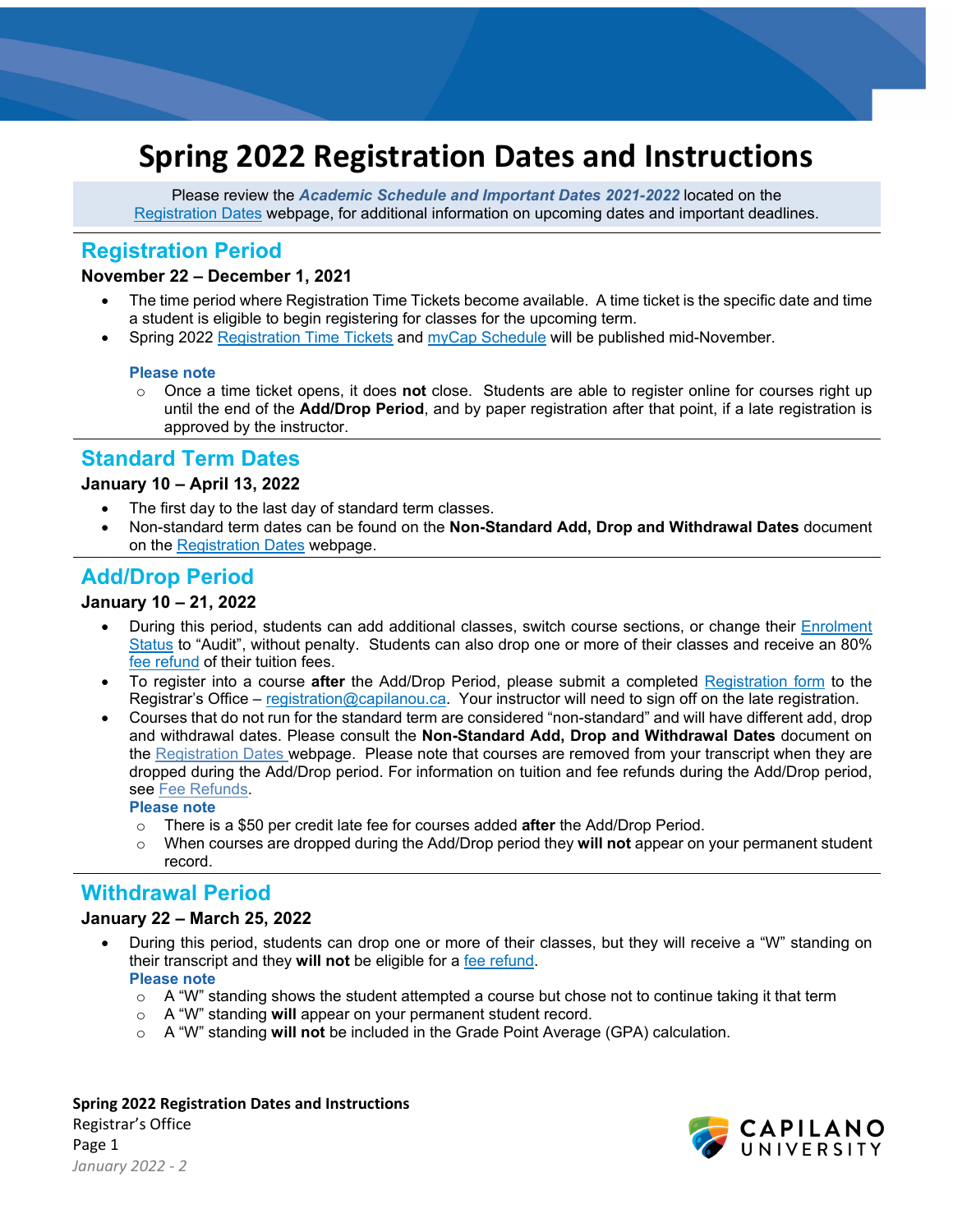# **Spring 2022 Registration Dates and Instructions**

Please review the *Academic Schedule and Important Dates 2021-2022* located on the [Registration Dates](http://www.capilanou.ca/current/dates/) webpage, for additional information on upcoming dates and important deadlines.

# **Registration Period**

### **November 22 – December 1, 2021**

- The time period where Registration Time Tickets become available. A time ticket is the specific date and time a student is eligible to begin registering for classes for the upcoming term.
- Spring 2022 [Registration Time Tickets](https://www.capilanou.ca/admissions/course-registration/how-to-register/registration-time-tickets/) and [myCap Schedule](https://www.capilanou.ca/mycapu/mycap-schedule/) will be published mid-November.

#### **Please note**

o Once a time ticket opens, it does **not** close. Students are able to register online for courses right up until the end of the **Add/Drop Period**, and by paper registration after that point, if a late registration is approved by the instructor.

# **Standard Term Dates**

# **January 10 – April 13, 2022**

- The first day to the last day of standard term classes.
- Non-standard term dates can be found on the **Non-Standard Add, Drop and Withdrawal Dates** document on the [Registration Dates](https://www.capilanou.ca/admissions/course-registration/registration-dates/) webpage.

# **Add/Drop Period**

# **January 10 – 21, 2022**

- During this period, students can add additional classes, switch course sections, or change their [Enrolment](https://www.capilanou.ca/mycapu/policies--procedures/academic-policies-and-procedures/)  [Status](https://www.capilanou.ca/mycapu/policies--procedures/academic-policies-and-procedures/) to "Audit", without penalty. Students can also drop one or more of their classes and receive an 80% [fee refund](https://www.capilanou.ca/admissions/fees--finances/tuition--fees/fee-refunds/) of their tuition fees.
- To register into a course **after** the Add/Drop Period, please submit a completed [Registration form](https://www.capilanou.ca/admissions/course-registration/registrars-office/transcripts--forms/) to the Registrar's Office – [registration@capilanou.ca.](mailto:registration@capilanou.ca) Your instructor will need to sign off on the late registration.
- Courses that do not run for the standard term are considered "non-standard" and will have different add, drop and withdrawal dates. Please consult the **Non-Standard Add, Drop and Withdrawal Dates** document on the [Registration Dates](http://www.capilanou.ca/current/dates/) webpage. Please note that courses are removed from your transcript when they are dropped during the Add/Drop period. For information on tuition and fee refunds during the Add/Drop period, see [Fee Refunds.](http://www.capilanou.ca/fees/Fee-Refunds/)

#### **Please note**

- o There is a \$50 per credit late fee for courses added **after** the Add/Drop Period.
- When courses are dropped during the Add/Drop period they **will not** appear on your permanent student record.

# **Withdrawal Period**

#### **January 22 – March 25, 2022**

- During this period, students can drop one or more of their classes, but they will receive a "W" standing on their transcript and they **will not** be eligible for a [fee refund.](https://www.capilanou.ca/admissions/fees--finances/tuition--fees/fee-refunds/) **Please note** 
	- $\circ$  A "W" standing shows the student attempted a course but chose not to continue taking it that term
	- o A "W" standing **will** appear on your permanent student record.
	- o A "W" standing **will not** be included in the Grade Point Average (GPA) calculation.

#### **Spring 2022 Registration Dates and Instructions**

Registrar's Office Page 1 *January 2022 - 2*

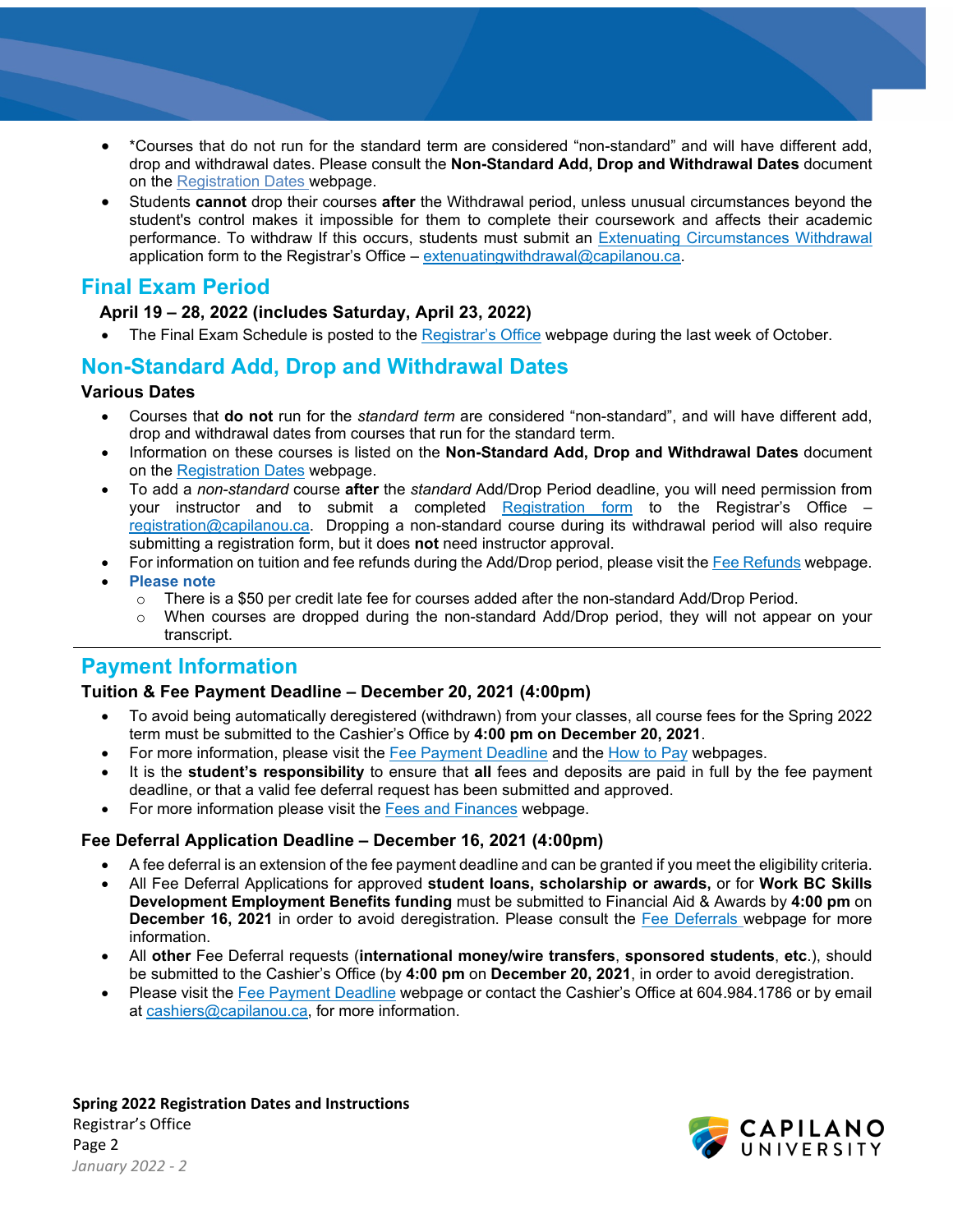- \*Courses that do not run for the standard term are considered "non-standard" and will have different add, drop and withdrawal dates. Please consult the **Non-Standard Add, Drop and Withdrawal Dates** document on the [Registration Dates](http://www.capilanou.ca/current/dates/) webpage.
- Students **cannot** drop their courses **after** the Withdrawal period, unless unusual circumstances beyond the student's control makes it impossible for them to complete their coursework and affects their academic performance. To withdraw If this occurs, students must submit an [Extenuating Circumstances Withdrawal](https://www.capilanou.ca/admissions/course-registration/registrars-office/transcripts--forms/) application form to the Registrar's Office – [extenuatingwithdrawal@capilanou.ca.](mailto:extenuatingwithdrawal@capilanou.ca)

# **Final Exam Period**

# **April 19 – 28, 2022 (includes Saturday, April 23, 2022)**

The Final Exam Schedule is posted to the [Registrar's Office](https://www.capilanou.ca/admissions/course-registration/registrars-office/) webpage during the last week of October.

# **Non-Standard Add, Drop and Withdrawal Dates**

# **Various Dates**

- Courses that **do not** run for the *standard term* are considered "non-standard", and will have different add, drop and withdrawal dates from courses that run for the standard term.
- Information on these courses is listed on the **Non-Standard Add, Drop and Withdrawal Dates** document on the [Registration Dates](http://www.capilanou.ca/current/dates/) webpage.
- To add a *non-standard* course **after** the *standard* Add/Drop Period deadline, you will need permission from your instructor and to submit a completed [Registration form](https://www.capilanou.ca/admissions/course-registration/registrars-office/transcripts--forms/) to the Registrar's Office – [registration@capilanou.ca.](mailto:registration@capilanou.ca) Dropping a non-standard course during its withdrawal period will also require submitting a registration form, but it does **not** need instructor approval.
- For information on tuition and fee refunds during the Add/Drop period, please visit the [Fee Refunds](https://www.capilanou.ca/admissions/fees--finances/tuition--fees/fee-refunds/) webpage.
- **Please note**
	- $\circ$  There is a \$50 per credit late fee for courses added after the non-standard Add/Drop Period.<br> $\circ$  When courses are dropped during the non-standard Add/Drop period, they will not appea
	- When courses are dropped during the non-standard Add/Drop period, they will not appear on your transcript.

# **Payment Information**

# **Tuition & Fee Payment Deadline – December 20, 2021 (4:00pm)**

- To avoid being automatically deregistered (withdrawn) from your classes, all course fees for the Spring 2022 term must be submitted to the Cashier's Office by **4:00 pm on December 20, 2021**.
- For more information, please visit the [Fee Payment Deadline](https://www.capilanou.ca/admissions/fees--finances/fee-payment-deadline/) and the [How to Pay](https://www.capilanou.ca/admissions/fees--finances/how-to-pay/) webpages.
- It is the **student's responsibility** to ensure that **all** fees and deposits are paid in full by the fee payment deadline, or that a valid fee deferral request has been submitted and approved.
- For more information please visit the [Fees and Finances](http://www.capilanou.ca/fees/) webpage.

# **Fee Deferral Application Deadline – December 16, 2021 (4:00pm)**

- A fee deferral is an extension of the fee payment deadline and can be granted if you meet the eligibility criteria.
- All Fee Deferral Applications for approved **student loans, scholarship or awards,** or for **Work BC Skills Development Employment Benefits funding** must be submitted to Financial Aid & Awards by **4:00 pm** on **December 16, 2021** in order to avoid deregistration. Please consult the [Fee Deferrals](http://www.capilanou.ca/fee-deferrals/) webpage for more information.
- All **other** Fee Deferral requests (**international money/wire transfers**, **sponsored students**, **etc**.), should be submitted to the Cashier's Office (by **4:00 pm** on **December 20, 2021**, in order to avoid deregistration.
- Please visit the [Fee Payment Deadline](https://www.capilanou.ca/admissions/fees--finances/fee-payment-deadline/) webpage or contact the Cashier's Office at 604.984.1786 or by email at [cashiers@capilanou.ca,](mailto:cashiers@capilanou.ca) for more information.

**Spring 2022 Registration Dates and Instructions**  Registrar's Office Page 2 *January 2022 - 2*

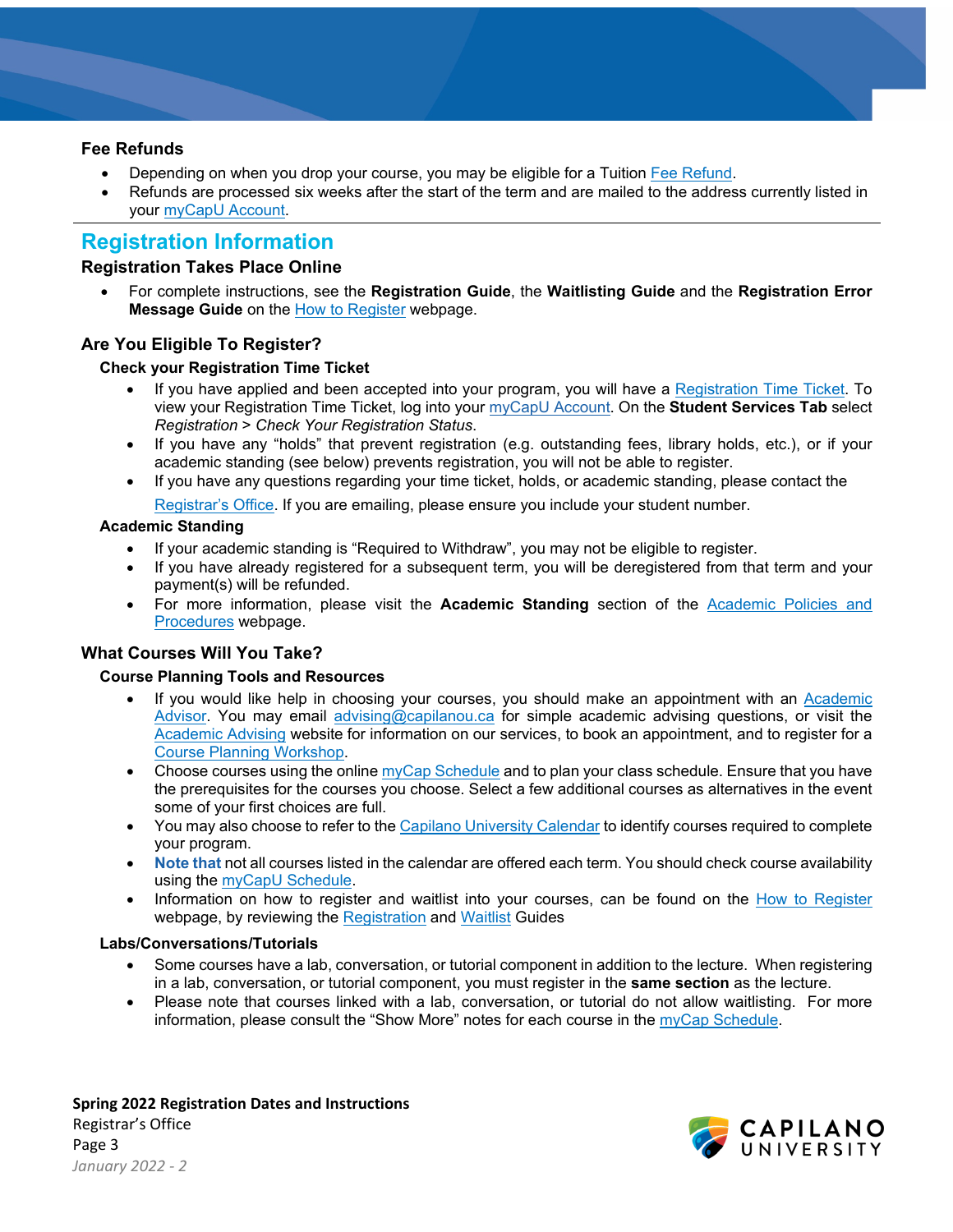### **Fee Refunds**

- Depending on when you drop your course, you may be eligible for a Tuition [Fee Refund.](http://www.capilanou.ca/fees/Fee-Refunds/)
- Refunds are processed six weeks after the start of the term and are mailed to the address currently listed in your [myCapU Account.](https://www.capilanou.ca/mycapu/)

# **Registration Information**

# **Registration Takes Place Online**

• For complete instructions, see the **Registration Guide**, the **Waitlisting Guide** and the **Registration Error Message Guide** on the [How to Register](http://www.capilanou.ca/how-to-register/) webpage.

# **Are You Eligible To Register?**

### **Check your Registration Time Ticket**

- If you have applied and been accepted into your program, you will have a [Registration Time Ticket.](https://www.capilanou.ca/admissions/course-registration/how-to-register/registration-time-tickets/) To view your Registration Time Ticket, log into your [myCapU Account.](https://ssb.capilanou.ca/prod/twbkwbis.P_WWWLogin) On the **Student Services Tab** select *Registration* > *Check Your Registration Status*.
- If you have any "holds" that prevent registration (e.g. outstanding fees, library holds, etc.), or if your academic standing (see below) prevents registration, you will not be able to register.
- If you have any questions regarding your time ticket, holds, or academic standing, please contact the

[Registrar's Office.](http://www.capilanou.ca/registrar/) If you are emailing, please ensure you include your student number.

### **Academic Standing**

- If your academic standing is "Required to Withdraw", you may not be eligible to register.
- If you have already registered for a subsequent term, you will be deregistered from that term and your payment(s) will be refunded.
- For more information, please visit the **Academic Standing** section of the [Academic Policies and](https://www.capilanou.ca/mycapu/policies--procedures/academic-policies-and-procedures/) [Procedures](https://www.capilanou.ca/mycapu/policies--procedures/academic-policies-and-procedures/) webpage.

## **What Courses Will You Take?**

#### **Course Planning Tools and Resources**

- If you would like help in choosing your courses, you should make an appointment with an [Academic](https://www.capilanou.ca/student-life/academic-support/academic-advising/)  [Advisor.](https://www.capilanou.ca/student-life/academic-support/academic-advising/) You may email [advising@capilanou.ca](mailto:advising@capilanou.ca) for simple academic advising questions, or visit the [Academic Advising](https://www.capilanou.ca/student-life/academic-support/academic-advising/) website for information on our services, to book an appointment, and to register for [a](https://www.capilanou.ca/student-life/academic-support/academic-advising/course-planning-workshops/) [Course Planning Workshop.](https://www.capilanou.ca/student-life/academic-support/academic-advising/course-planning-workshops/)
- Choose courses using the online myCap [Schedule](http://www.capilanou.ca/current/mycapschedule/) and to plan your class schedule. Ensure that you have the prerequisites for the courses you choose. Select a few additional courses as alternatives in the event some of your first choices are full.
- You may also choose to refer to the [Capilano University Calendar](https://www.capilanou.ca/admissions/course-registration/capilano-university-calendar/) to identify courses required to complete your program.
- **Note that** not all courses listed in the calendar are offered each term. You should check course availability using the [myCapU Schedule.](http://www.capilanou.ca/current/mycapschedule/)
- Information on how to register and waitlist into your courses, can be found on the [How to Register](https://capilanou.ca/admissions/course-registration/how-to-register/) webpage, by reviewing the [Registration](https://capilanou.ca/media/capilanouca/admissions/course-registration/how-to-register/Registration-Guide.pdf) and [Waitlist](https://capilanou.ca/media/capilanouca/admissions/course-registration/how-to-register/Waitlist-Guide.pdf) Guides

#### **Labs/Conversations/Tutorials**

- Some courses have a lab, conversation, or tutorial component in addition to the lecture. When registering in a lab, conversation, or tutorial component, you must register in the **same section** as the lecture.
- Please note that courses linked with a lab, conversation, or tutorial do not allow waitlisting. For more information, please consult the "Show More" notes for each course in the [myCap Schedule.](http://www.capilanou.ca/current/mycapschedule/)

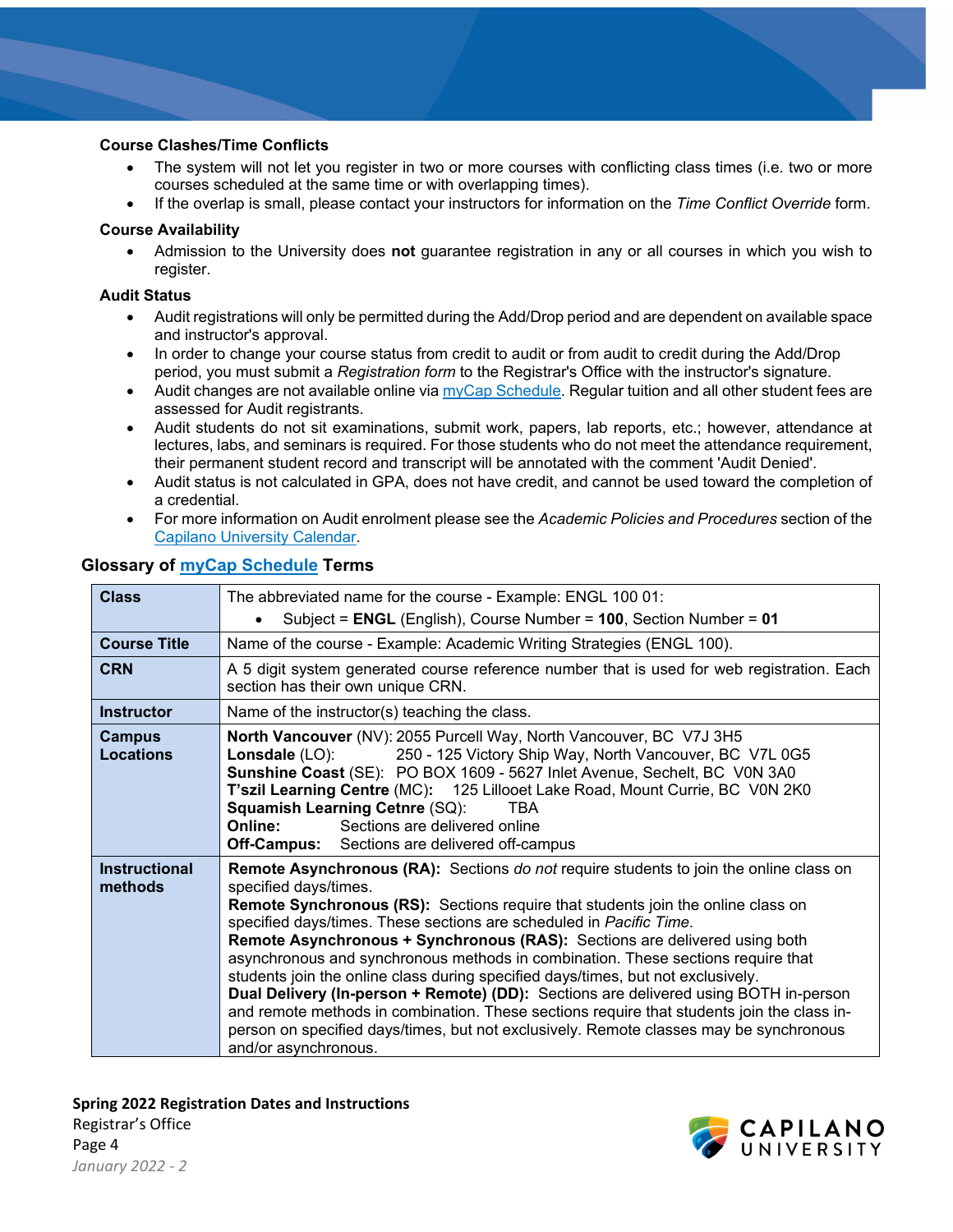### **Course Clashes/Time Conflicts**

- The system will not let you register in two or more courses with conflicting class times (i.e. two or more courses scheduled at the same time or with overlapping times).
- If the overlap is small, please contact your instructors for information on the *Time Conflict Override* form.

### **Course Availability**

• Admission to the University does **not** guarantee registration in any or all courses in which you wish to register.

### **Audit Status**

- Audit registrations will only be permitted during the Add/Drop period and are dependent on available space and instructor's approval.
- In order to change your course status from credit to audit or from audit to credit during the Add/Drop period, you must submit a *Registration form* to the Registrar's Office with the instructor's signature.
- Audit changes are not available online vi[a myCap Schedule.](http://www.capilanou.ca/current/mycapschedule/) Regular tuition and all other student fees are assessed for Audit registrants.
- Audit students do not sit examinations, submit work, papers, lab reports, etc.; however, attendance at lectures, labs, and seminars is required. For those students who do not meet the attendance requirement, their permanent student record and transcript will be annotated with the comment 'Audit Denied'.
- Audit status is not calculated in GPA, does not have credit, and cannot be used toward the completion of a credential.
- For more information on Audit enrolment please see the *Academic Policies and Procedures* section of the [Capilano University Calendar.](https://www.capilanou.ca/admissions/course-registration/capilano-university-calendar/)

| <b>Class</b>                      | The abbreviated name for the course - Example: ENGL 100 01:                                                                                                                                                                                                                                                                                                                                                                                                                                                                                                                                                                                                                                                                                                                                                                                                   |  |  |  |
|-----------------------------------|---------------------------------------------------------------------------------------------------------------------------------------------------------------------------------------------------------------------------------------------------------------------------------------------------------------------------------------------------------------------------------------------------------------------------------------------------------------------------------------------------------------------------------------------------------------------------------------------------------------------------------------------------------------------------------------------------------------------------------------------------------------------------------------------------------------------------------------------------------------|--|--|--|
|                                   | Subject = ENGL (English), Course Number = 100, Section Number = 01                                                                                                                                                                                                                                                                                                                                                                                                                                                                                                                                                                                                                                                                                                                                                                                            |  |  |  |
| <b>Course Title</b>               | Name of the course - Example: Academic Writing Strategies (ENGL 100).                                                                                                                                                                                                                                                                                                                                                                                                                                                                                                                                                                                                                                                                                                                                                                                         |  |  |  |
| <b>CRN</b>                        | A 5 digit system generated course reference number that is used for web registration. Each<br>section has their own unique CRN.                                                                                                                                                                                                                                                                                                                                                                                                                                                                                                                                                                                                                                                                                                                               |  |  |  |
| <b>Instructor</b>                 | Name of the instructor(s) teaching the class.                                                                                                                                                                                                                                                                                                                                                                                                                                                                                                                                                                                                                                                                                                                                                                                                                 |  |  |  |
| <b>Campus</b><br><b>Locations</b> | North Vancouver (NV): 2055 Purcell Way, North Vancouver, BC V7J 3H5<br>250 - 125 Victory Ship Way, North Vancouver, BC V7L 0G5<br>Lonsdale (LO):<br>Sunshine Coast (SE): PO BOX 1609 - 5627 Inlet Avenue, Sechelt, BC V0N 3A0<br>T'szil Learning Centre (MC): 125 Lillooet Lake Road, Mount Currie, BC V0N 2K0<br><b>Squamish Learning Cetnre (SQ):</b><br><b>TBA</b><br>Sections are delivered online<br>Online:<br><b>Off-Campus:</b> Sections are delivered off-campus                                                                                                                                                                                                                                                                                                                                                                                     |  |  |  |
| <b>Instructional</b><br>methods   | <b>Remote Asynchronous (RA):</b> Sections <i>do not</i> require students to join the online class on<br>specified days/times.<br><b>Remote Synchronous (RS):</b> Sections require that students join the online class on<br>specified days/times. These sections are scheduled in Pacific Time.<br>Remote Asynchronous + Synchronous (RAS): Sections are delivered using both<br>asynchronous and synchronous methods in combination. These sections require that<br>students join the online class during specified days/times, but not exclusively.<br>Dual Delivery (In-person + Remote) (DD): Sections are delivered using BOTH in-person<br>and remote methods in combination. These sections require that students join the class in-<br>person on specified days/times, but not exclusively. Remote classes may be synchronous<br>and/or asynchronous. |  |  |  |

### **Glossary of [myCap Schedule](https://capilanou.ca/mycapu/mycap-schedule/) Terms**

**Spring 2022 Registration Dates and Instructions**  Registrar's Office Page 4 *January 2022 - 2*

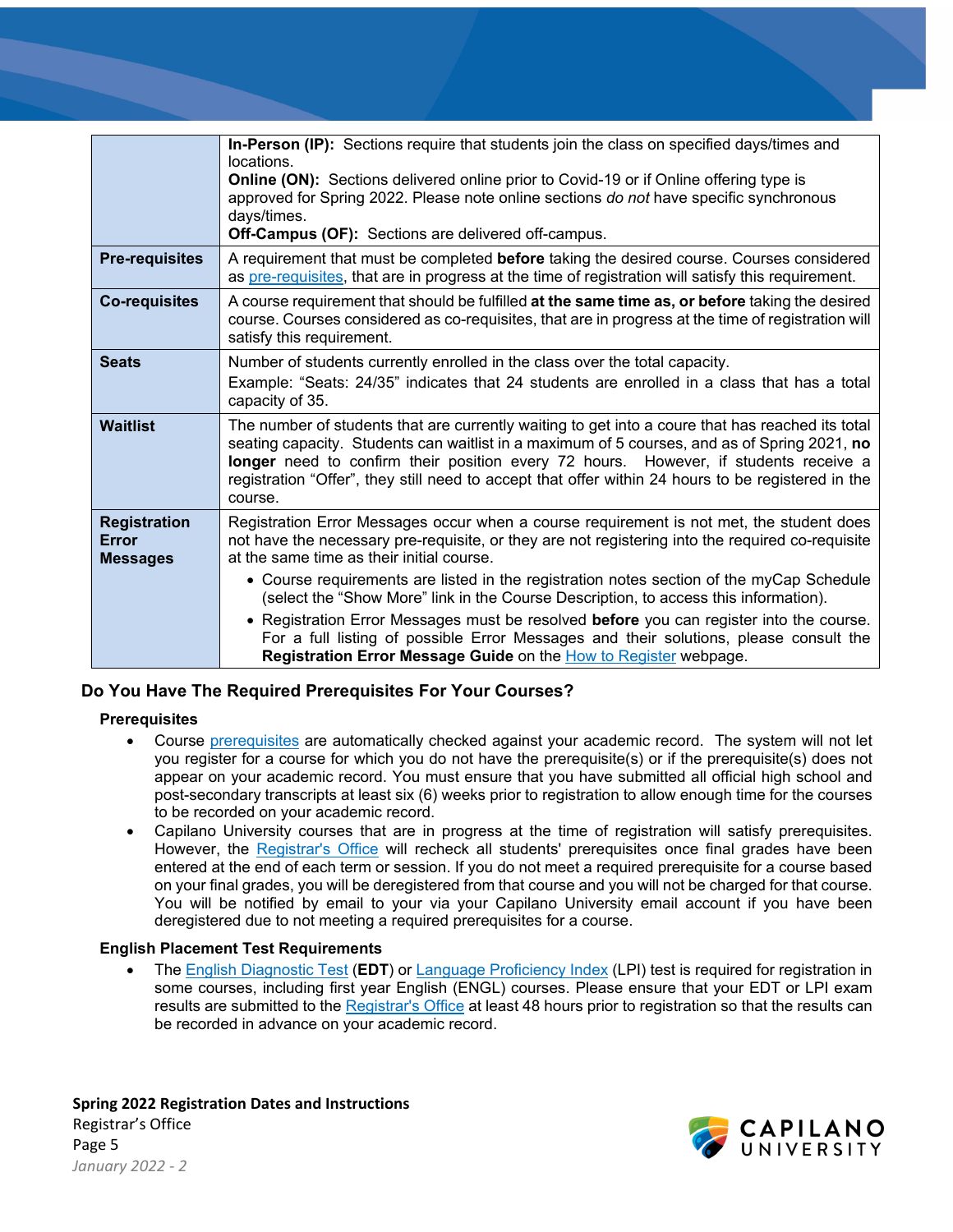|                              | In-Person (IP): Sections require that students join the class on specified days/times and                                                                                                                                                                                                                                                                                                                 |  |  |
|------------------------------|-----------------------------------------------------------------------------------------------------------------------------------------------------------------------------------------------------------------------------------------------------------------------------------------------------------------------------------------------------------------------------------------------------------|--|--|
|                              | locations.                                                                                                                                                                                                                                                                                                                                                                                                |  |  |
|                              | <b>Online (ON):</b> Sections delivered online prior to Covid-19 or if Online offering type is                                                                                                                                                                                                                                                                                                             |  |  |
|                              | approved for Spring 2022. Please note online sections do not have specific synchronous                                                                                                                                                                                                                                                                                                                    |  |  |
|                              | days/times.                                                                                                                                                                                                                                                                                                                                                                                               |  |  |
|                              | <b>Off-Campus (OF):</b> Sections are delivered off-campus.                                                                                                                                                                                                                                                                                                                                                |  |  |
| <b>Pre-requisites</b>        | A requirement that must be completed before taking the desired course. Courses considered<br>as pre-requisites, that are in progress at the time of registration will satisfy this requirement.                                                                                                                                                                                                           |  |  |
| <b>Co-requisites</b>         | A course requirement that should be fulfilled at the same time as, or before taking the desired<br>course. Courses considered as co-requisites, that are in progress at the time of registration will<br>satisfy this requirement.                                                                                                                                                                        |  |  |
| <b>Seats</b>                 | Number of students currently enrolled in the class over the total capacity.                                                                                                                                                                                                                                                                                                                               |  |  |
|                              | Example: "Seats: 24/35" indicates that 24 students are enrolled in a class that has a total<br>capacity of 35.                                                                                                                                                                                                                                                                                            |  |  |
| <b>Waitlist</b>              | The number of students that are currently waiting to get into a coure that has reached its total<br>seating capacity. Students can waitlist in a maximum of 5 courses, and as of Spring 2021, no<br>longer need to confirm their position every 72 hours. However, if students receive a<br>registration "Offer", they still need to accept that offer within 24 hours to be registered in the<br>course. |  |  |
| <b>Registration</b><br>Error | Registration Error Messages occur when a course requirement is not met, the student does<br>not have the necessary pre-requisite, or they are not registering into the required co-requisite                                                                                                                                                                                                              |  |  |
| <b>Messages</b>              | at the same time as their initial course.                                                                                                                                                                                                                                                                                                                                                                 |  |  |
|                              | • Course requirements are listed in the registration notes section of the myCap Schedule<br>(select the "Show More" link in the Course Description, to access this information).                                                                                                                                                                                                                          |  |  |
|                              | • Registration Error Messages must be resolved before you can register into the course.<br>For a full listing of possible Error Messages and their solutions, please consult the<br>Registration Error Message Guide on the How to Register webpage.                                                                                                                                                      |  |  |

# **Do You Have The Required Prerequisites For Your Courses?**

#### **Prerequisites**

- Course [prerequisites](https://www.capilanou.ca/admissions/course-registration/how-to-register/planning-your-courses/) are automatically checked against your academic record. The system will not let you register for a course for which you do not have the prerequisite(s) or if the prerequisite(s) does not appear on your academic record. You must ensure that you have submitted all official high school and post-secondary transcripts at least six (6) weeks prior to registration to allow enough time for the courses to be recorded on your academic record.
- Capilano University courses that are in progress at the time of registration will satisfy prerequisites. However, the [Registrar's Office](http://www.capilanou.ca/registrar/) will recheck all students' prerequisites once final grades have been entered at the end of each term or session. If you do not meet a required prerequisite for a course based on your final grades, you will be deregistered from that course and you will not be charged for that course. You will be notified by email to your via your Capilano University email account if you have been deregistered due to not meeting a required prerequisites for a course.

## **English Placement Test Requirements**

• The [English Diagnostic Test](https://www.capilanou.ca/student-life/academic-support/learning-supports/english-diagnostic-test/) (**EDT**) or [Language Proficiency Index](https://www.lpitest.ca/) (LPI) test is required for registration in some courses, including first year English (ENGL) courses. Please ensure that your EDT or LPI exam results are submitted to the [Registrar's Office](http://www.capilanou.ca/registrar/) at least 48 hours prior to registration so that the results can be recorded in advance on your academic record.

**Spring 2022 Registration Dates and Instructions**  Registrar's Office Page 5 *January 2022 - 2*